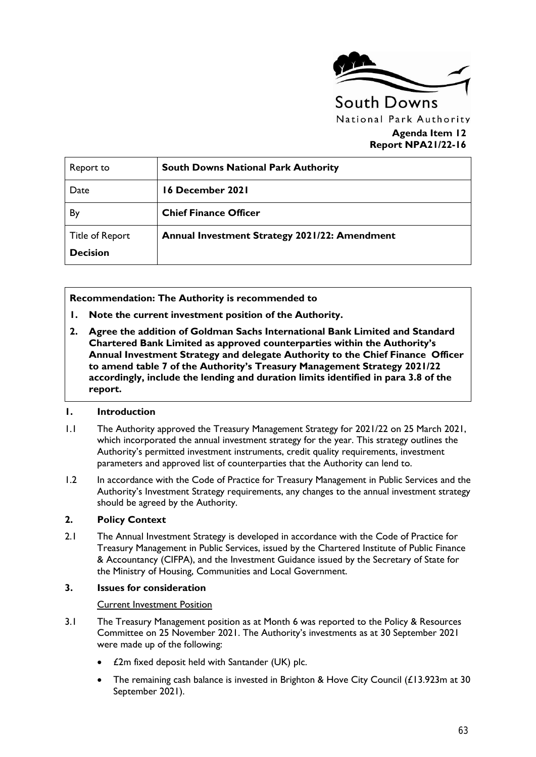

# **Agenda Item 12 Report NPA21/22-16**

| Report to                          | <b>South Downs National Park Authority</b>    |
|------------------------------------|-----------------------------------------------|
| Date                               | 16 December 2021                              |
| By                                 | <b>Chief Finance Officer</b>                  |
| Title of Report<br><b>Decision</b> | Annual Investment Strategy 2021/22: Amendment |

**Recommendation: The Authority is recommended to** 

- **1. Note the current investment position of the Authority.**
- **2. Agree the addition of Goldman Sachs International Bank Limited and Standard Chartered Bank Limited as approved counterparties within the Authority's Annual Investment Strategy and delegate Authority to the Chief Finance Officer to amend table 7 of the Authority's Treasury Management Strategy 2021/22 accordingly, include the lending and duration limits identified in para 3.8 of the report.**

#### **1. Introduction**

- 1.1 The Authority approved the Treasury Management Strategy for 2021/22 on 25 March 2021, which incorporated the annual investment strategy for the year. This strategy outlines the Authority's permitted investment instruments, credit quality requirements, investment parameters and approved list of counterparties that the Authority can lend to.
- 1.2 In accordance with the Code of Practice for Treasury Management in Public Services and the Authority's Investment Strategy requirements, any changes to the annual investment strategy should be agreed by the Authority.

### **2. Policy Context**

2.1 The Annual Investment Strategy is developed in accordance with the Code of Practice for Treasury Management in Public Services, issued by the Chartered Institute of Public Finance & Accountancy (CIFPA), and the Investment Guidance issued by the Secretary of State for the Ministry of Housing, Communities and Local Government.

#### **3. Issues for consideration**

#### Current Investment Position

- 3.1 The Treasury Management position as at Month 6 was reported to the Policy & Resources Committee on 25 November 2021. The Authority's investments as at 30 September 2021 were made up of the following:
	- £2m fixed deposit held with Santander (UK) plc.
	- The remaining cash balance is invested in Brighton & Hove City Council (£13.923m at 30 September 2021).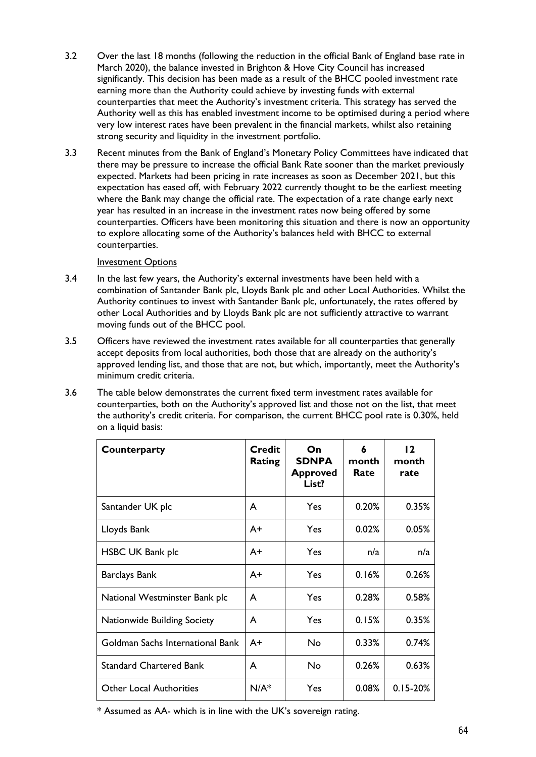- 3.2 Over the last 18 months (following the reduction in the official Bank of England base rate in March 2020), the balance invested in Brighton & Hove City Council has increased significantly. This decision has been made as a result of the BHCC pooled investment rate earning more than the Authority could achieve by investing funds with external counterparties that meet the Authority's investment criteria. This strategy has served the Authority well as this has enabled investment income to be optimised during a period where very low interest rates have been prevalent in the financial markets, whilst also retaining strong security and liquidity in the investment portfolio.
- 3.3 Recent minutes from the Bank of England's Monetary Policy Committees have indicated that there may be pressure to increase the official Bank Rate sooner than the market previously expected. Markets had been pricing in rate increases as soon as December 2021, but this expectation has eased off, with February 2022 currently thought to be the earliest meeting where the Bank may change the official rate. The expectation of a rate change early next year has resulted in an increase in the investment rates now being offered by some counterparties. Officers have been monitoring this situation and there is now an opportunity to explore allocating some of the Authority's balances held with BHCC to external counterparties.

#### **Investment Options**

- 3.4 In the last few years, the Authority's external investments have been held with a combination of Santander Bank plc, Lloyds Bank plc and other Local Authorities. Whilst the Authority continues to invest with Santander Bank plc, unfortunately, the rates offered by other Local Authorities and by Lloyds Bank plc are not sufficiently attractive to warrant moving funds out of the BHCC pool.
- 3.5 Officers have reviewed the investment rates available for all counterparties that generally accept deposits from local authorities, both those that are already on the authority's approved lending list, and those that are not, but which, importantly, meet the Authority's minimum credit criteria.
- 3.6 The table below demonstrates the current fixed term investment rates available for counterparties, both on the Authority's approved list and those not on the list, that meet the authority's credit criteria. For comparison, the current BHCC pool rate is 0.30%, held on a liquid basis:

| Counterparty                       | <b>Credit</b><br><b>Rating</b> | On<br><b>SDNPA</b><br><b>Approved</b><br>List? | 6<br>month<br>Rate | $\overline{2}$<br>month<br>rate |
|------------------------------------|--------------------------------|------------------------------------------------|--------------------|---------------------------------|
| Santander UK plc                   | A                              | Yes                                            | 0.20%              | 0.35%                           |
| Lloyds Bank                        | A+                             | Yes                                            | 0.02%              | 0.05%                           |
| <b>HSBC UK Bank plc</b>            | A+                             | Yes                                            | n/a                | n/a                             |
| <b>Barclays Bank</b>               | A+                             | Yes                                            | 0.16%              | 0.26%                           |
| National Westminster Bank plc      | A                              | Yes                                            | 0.28%              | 0.58%                           |
| <b>Nationwide Building Society</b> | A                              | Yes                                            | 0.15%              | 0.35%                           |
| Goldman Sachs International Bank   | $A+$                           | No                                             | 0.33%              | 0.74%                           |
| <b>Standard Chartered Bank</b>     | A                              | No                                             | 0.26%              | 0.63%                           |
| <b>Other Local Authorities</b>     | $N/A^*$                        | Yes                                            | 0.08%              | $0.15 - 20%$                    |

\* Assumed as AA- which is in line with the UK's sovereign rating.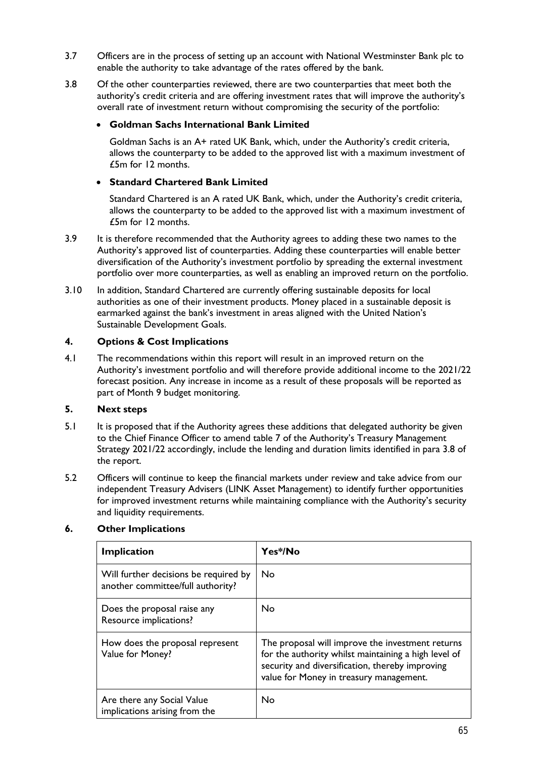- 3.7 Officers are in the process of setting up an account with National Westminster Bank plc to enable the authority to take advantage of the rates offered by the bank.
- 3.8 Of the other counterparties reviewed, there are two counterparties that meet both the authority's credit criteria and are offering investment rates that will improve the authority's overall rate of investment return without compromising the security of the portfolio:

## **Goldman Sachs International Bank Limited**

Goldman Sachs is an A+ rated UK Bank, which, under the Authority's credit criteria, allows the counterparty to be added to the approved list with a maximum investment of £5m for 12 months.

# **Standard Chartered Bank Limited**

Standard Chartered is an A rated UK Bank, which, under the Authority's credit criteria, allows the counterparty to be added to the approved list with a maximum investment of £5m for 12 months.

- 3.9 It is therefore recommended that the Authority agrees to adding these two names to the Authority's approved list of counterparties. Adding these counterparties will enable better diversification of the Authority's investment portfolio by spreading the external investment portfolio over more counterparties, as well as enabling an improved return on the portfolio.
- 3.10 In addition, Standard Chartered are currently offering sustainable deposits for local authorities as one of their investment products. Money placed in a sustainable deposit is earmarked against the bank's investment in areas aligned with the United Nation's Sustainable Development Goals.

# **4. Options & Cost Implications**

4.1 The recommendations within this report will result in an improved return on the Authority's investment portfolio and will therefore provide additional income to the 2021/22 forecast position. Any increase in income as a result of these proposals will be reported as part of Month 9 budget monitoring.

### **5. Next steps**

- 5.1 It is proposed that if the Authority agrees these additions that delegated authority be given to the Chief Finance Officer to amend table 7 of the Authority's Treasury Management Strategy 2021/22 accordingly, include the lending and duration limits identified in para 3.8 of the report.
- 5.2 Officers will continue to keep the financial markets under review and take advice from our independent Treasury Advisers (LINK Asset Management) to identify further opportunities for improved investment returns while maintaining compliance with the Authority's security and liquidity requirements.

### **6. Other Implications**

| <b>Implication</b>                                                         | Yes*/No                                                                                                                                                                                                |
|----------------------------------------------------------------------------|--------------------------------------------------------------------------------------------------------------------------------------------------------------------------------------------------------|
| Will further decisions be required by<br>another committee/full authority? | <b>No</b>                                                                                                                                                                                              |
| Does the proposal raise any<br>Resource implications?                      | <b>No</b>                                                                                                                                                                                              |
| How does the proposal represent<br>Value for Money?                        | The proposal will improve the investment returns<br>for the authority whilst maintaining a high level of<br>security and diversification, thereby improving<br>value for Money in treasury management. |
| Are there any Social Value<br>implications arising from the                | No                                                                                                                                                                                                     |